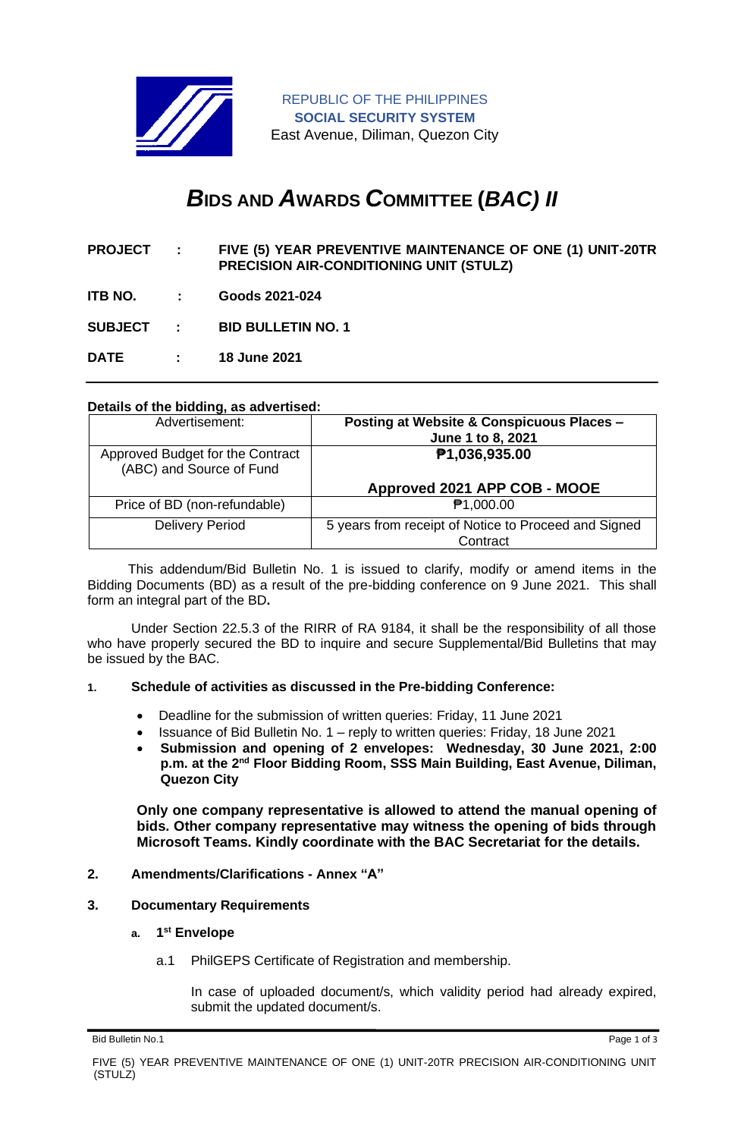

REPUBLIC OF THE PHILIPPINES **SOCIAL SECURITY SYSTEM** East Avenue, Diliman, Quezon City

# *B***IDS AND** *A***WARDS** *C***OMMITTEE (***BAC) II*

- **PROJECT : FIVE (5) YEAR PREVENTIVE MAINTENANCE OF ONE (1) UNIT-20TR PRECISION AIR-CONDITIONING UNIT (STULZ)**
- **ITB NO. : Goods 2021-024**

**SUBJECT : BID BULLETIN NO. 1**

**DATE : 18 June 2021**

#### **Details of the bidding, as advertised:**

| Advertisement:                                               | Posting at Website & Conspicuous Places -<br>June 1 to 8, 2021   |
|--------------------------------------------------------------|------------------------------------------------------------------|
| Approved Budget for the Contract<br>(ABC) and Source of Fund | P1,036,935.00                                                    |
|                                                              | Approved 2021 APP COB - MOOE                                     |
| Price of BD (non-refundable)                                 | <b>₱1,000.00</b>                                                 |
| <b>Delivery Period</b>                                       | 5 years from receipt of Notice to Proceed and Signed<br>Contract |

 This addendum/Bid Bulletin No. 1 is issued to clarify, modify or amend items in the Bidding Documents (BD) as a result of the pre-bidding conference on 9 June 2021. This shall form an integral part of the BD**.**

Under Section 22.5.3 of the RIRR of RA 9184, it shall be the responsibility of all those who have properly secured the BD to inquire and secure Supplemental/Bid Bulletins that may be issued by the BAC.

#### **1. Schedule of activities as discussed in the Pre-bidding Conference:**

- Deadline for the submission of written queries: Friday, 11 June 2021
- Issuance of Bid Bulletin No. 1 reply to written queries: Friday, 18 June 2021
- **Submission and opening of 2 envelopes: Wednesday, 30 June 2021, 2:00**  p.m. at the 2<sup>nd</sup> Floor Bidding Room, SSS Main Building, East Avenue, Diliman, **Quezon City**

**Only one company representative is allowed to attend the manual opening of bids. Other company representative may witness the opening of bids through Microsoft Teams. Kindly coordinate with the BAC Secretariat for the details.**

#### **2. Amendments/Clarifications - Annex "A"**

#### **3. Documentary Requirements**

#### **a. 1 st Envelope**

a.1 PhilGEPS Certificate of Registration and membership.

In case of uploaded document/s, which validity period had already expired, submit the updated document/s.

Bid Bulletin No.1 Page 1 of 3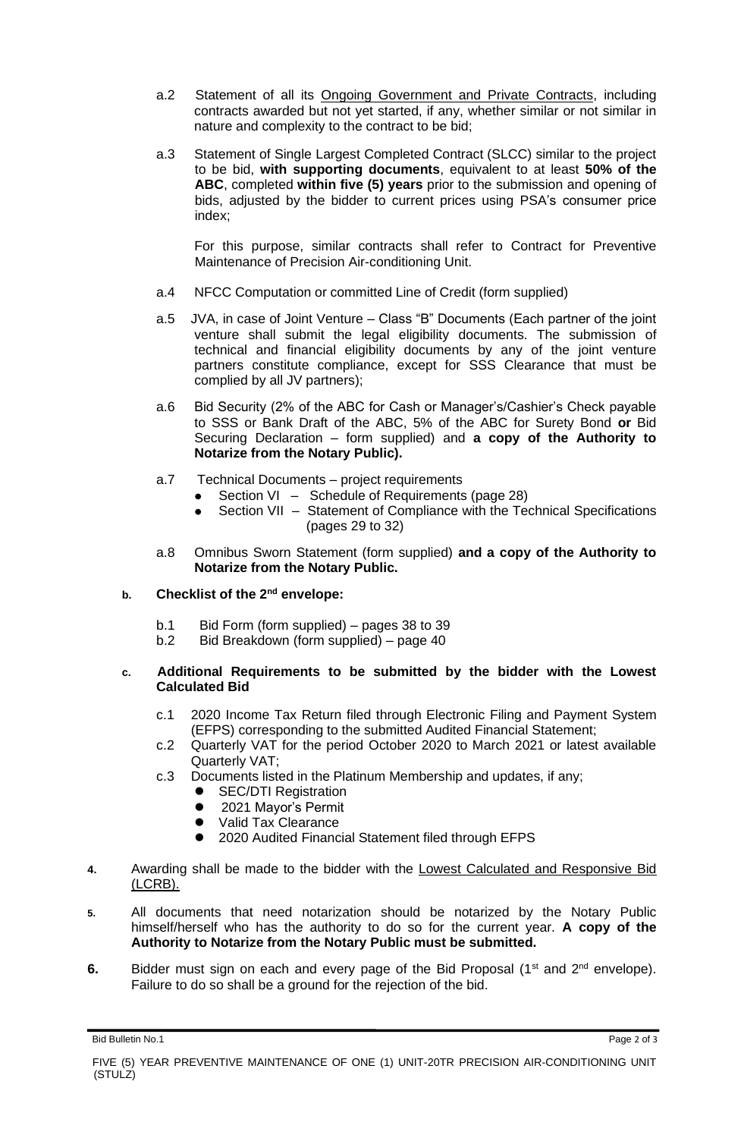- a.2 Statement of all its Ongoing Government and Private Contracts, including contracts awarded but not yet started, if any, whether similar or not similar in nature and complexity to the contract to be bid;
- a.3 Statement of Single Largest Completed Contract (SLCC) similar to the project to be bid, **with supporting documents**, equivalent to at least **50% of the ABC**, completed **within five (5) years** prior to the submission and opening of bids, adjusted by the bidder to current prices using PSA's consumer price index;

For this purpose, similar contracts shall refer to Contract for Preventive Maintenance of Precision Air-conditioning Unit.

- a.4 NFCC Computation or committed Line of Credit (form supplied)
- a.5 JVA, in case of Joint Venture Class "B" Documents (Each partner of the joint venture shall submit the legal eligibility documents. The submission of technical and financial eligibility documents by any of the joint venture partners constitute compliance, except for SSS Clearance that must be complied by all JV partners);
- a.6 Bid Security (2% of the ABC for Cash or Manager's/Cashier's Check payable to SSS or Bank Draft of the ABC, 5% of the ABC for Surety Bond **or** Bid Securing Declaration – form supplied) and **a copy of the Authority to Notarize from the Notary Public).**
- a.7 Technical Documents project requirements
	- Section VI Schedule of Requirements (page 28)
		- Section VII Statement of Compliance with the Technical Specifications (pages 29 to 32)
- a.8 Omnibus Sworn Statement (form supplied) **and a copy of the Authority to Notarize from the Notary Public.**

## **b. Checklist of the 2nd envelope:**

- b.1 Bid Form (form supplied) pages 38 to 39
- b.2 Bid Breakdown (form supplied) page 40

### **c. Additional Requirements to be submitted by the bidder with the Lowest Calculated Bid**

- c.1 2020 Income Tax Return filed through Electronic Filing and Payment System (EFPS) corresponding to the submitted Audited Financial Statement;
- c.2 Quarterly VAT for the period October 2020 to March 2021 or latest available Quarterly VAT;
- c.3 Documents listed in the Platinum Membership and updates, if any;
	- SEC/DTI Registration<br>● 2021 Mayor's Permit
	- ⚫ 2021 Mayor's Permit
	- Valid Tax Clearance
	- 2020 Audited Financial Statement filed through EFPS
- **4.** Awarding shall be made to the bidder with the Lowest Calculated and Responsive Bid (LCRB).
- **5.** All documents that need notarization should be notarized by the Notary Public himself/herself who has the authority to do so for the current year. **A copy of the Authority to Notarize from the Notary Public must be submitted.**
- **6.** Bidder must sign on each and every page of the Bid Proposal (1<sup>st</sup> and 2<sup>nd</sup> envelope). Failure to do so shall be a ground for the rejection of the bid.

Bid Bulletin No.1 Page 2 of 3